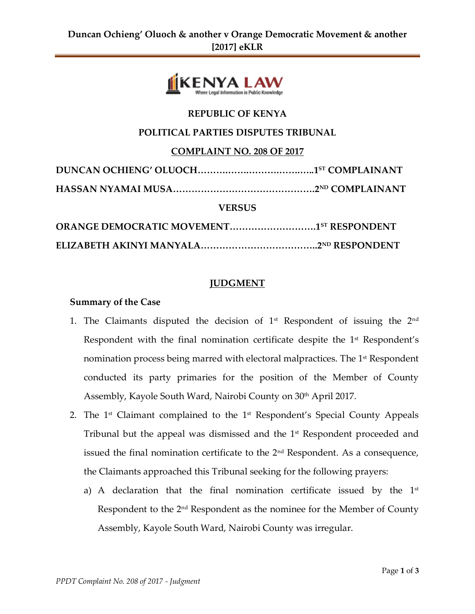

# **REPUBLIC OF KENYA**

### **POLITICAL PARTIES DISPUTES TRIBUNAL**

**COMPLAINT NO. 208 OF 2017**

| <b>VERSUS</b>                                   |  |
|-------------------------------------------------|--|
| <b>ORANGE DEMOCRATIC MOVEMENT15T RESPONDENT</b> |  |
|                                                 |  |

#### **JUDGMENT**

#### **Summary of the Case**

- 1. The Claimants disputed the decision of  $1<sup>st</sup>$  Respondent of issuing the  $2<sup>nd</sup>$ Respondent with the final nomination certificate despite the  $1<sup>st</sup>$  Respondent's nomination process being marred with electoral malpractices. The 1<sup>st</sup> Respondent conducted its party primaries for the position of the Member of County Assembly, Kayole South Ward, Nairobi County on 30<sup>th</sup> April 2017.
- 2. The 1<sup>st</sup> Claimant complained to the 1<sup>st</sup> Respondent's Special County Appeals Tribunal but the appeal was dismissed and the 1<sup>st</sup> Respondent proceeded and issued the final nomination certificate to the  $2<sup>nd</sup>$  Respondent. As a consequence, the Claimants approached this Tribunal seeking for the following prayers:
	- a) A declaration that the final nomination certificate issued by the  $1<sup>st</sup>$ Respondent to the  $2<sup>nd</sup>$  Respondent as the nominee for the Member of County Assembly, Kayole South Ward, Nairobi County was irregular.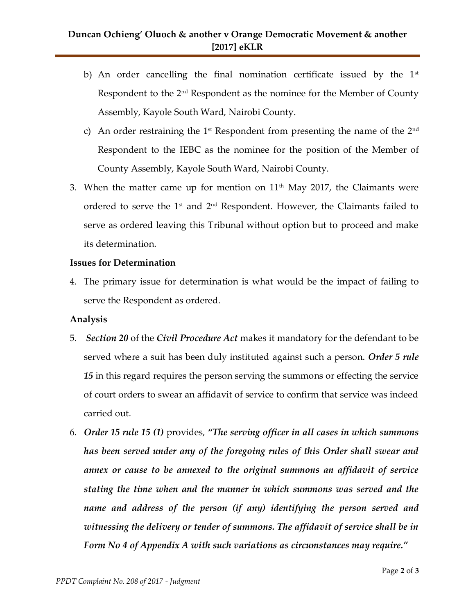- b) An order cancelling the final nomination certificate issued by the  $1<sup>st</sup>$ Respondent to the  $2<sup>nd</sup>$  Respondent as the nominee for the Member of County Assembly, Kayole South Ward, Nairobi County.
- c) An order restraining the 1<sup>st</sup> Respondent from presenting the name of the 2<sup>nd</sup> Respondent to the IEBC as the nominee for the position of the Member of County Assembly, Kayole South Ward, Nairobi County.
- 3. When the matter came up for mention on  $11<sup>th</sup>$  May 2017, the Claimants were ordered to serve the  $1<sup>st</sup>$  and  $2<sup>nd</sup>$  Respondent. However, the Claimants failed to serve as ordered leaving this Tribunal without option but to proceed and make its determination.

#### **Issues for Determination**

4. The primary issue for determination is what would be the impact of failing to serve the Respondent as ordered.

# **Analysis**

- 5. *Section 20* of the *Civil Procedure Act* makes it mandatory for the defendant to be served where a suit has been duly instituted against such a person. *Order 5 rule 15* in this regard requires the person serving the summons or effecting the service of court orders to swear an affidavit of service to confirm that service was indeed carried out.
- 6. *Order 15 rule 15 (1)* provides, *"The serving officer in all cases in which summons has been served under any of the foregoing rules of this Order shall swear and annex or cause to be annexed to the original summons an affidavit of service stating the time when and the manner in which summons was served and the name and address of the person (if any) identifying the person served and witnessing the delivery or tender of summons. The affidavit of service shall be in Form No 4 of Appendix A with such variations as circumstances may require."*